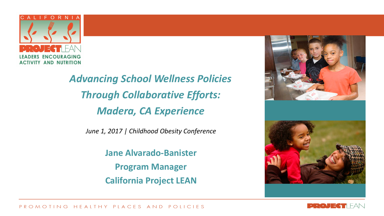

*Advancing School Wellness Policies Through Collaborative Efforts: Madera, CA Experience* 

*June 1, 2017 | Childhood Obesity Conference* 

**Jane Alvarado-Banister Program Manager California Project LEAN**



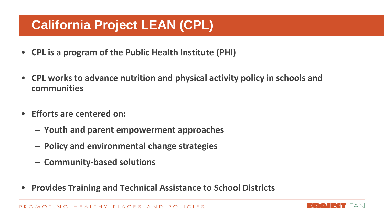# **California Project LEAN (CPL)**

- **CPL is a program of the Public Health Institute (PHI)**
- **CPL works to advance nutrition and physical activity policy in schools and communities**
- **Efforts are centered on:**
	- **Youth and parent empowerment approaches**
	- **Policy and environmental change strategies**
	- **Community-based solutions**
- **Provides Training and Technical Assistance to School Districts**

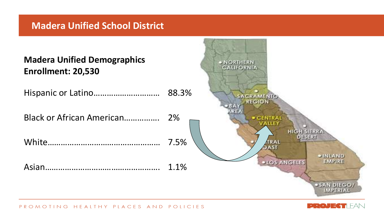### **Madera Unified School District**



PROMOTING HEALTHY PLACES AND POLICIES

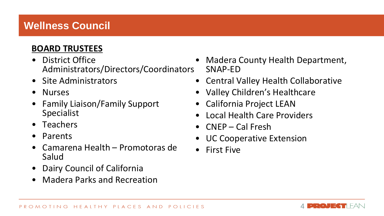# **Wellness Council**

### **BOARD TRUSTEES**

- District Office Administrators/Directors/Coordinators
- Site Administrators
- Nurses
- Family Liaison/Family Support Specialist
- Teachers
- Parents
- Camarena Health Promotoras de Salud
- Dairy Council of California
- Madera Parks and Recreation
- Madera County Health Department, SNAP-ED
- Central Valley Health Collaborative
- Valley Children's Healthcare
- California Project LEAN
- Local Health Care Providers
- CNEP Cal Fresh
- UC Cooperative Extension
- First Five

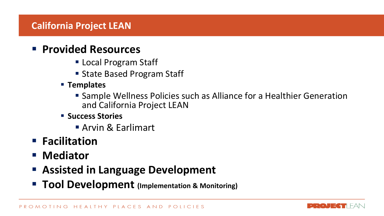## **California Project LEAN**

## **Provided Resources**

- Local Program Staff
- **State Based Program Staff**
- **Templates**
	- Sample Wellness Policies such as Alliance for a Healthier Generation and California Project LEAN
- **Success Stories** 
	- **Arvin & Earlimart**
- **Facilitation**
- **Mediator**
- **Assisted in Language Development**
- **Tool Development (Implementation & Monitoring)**

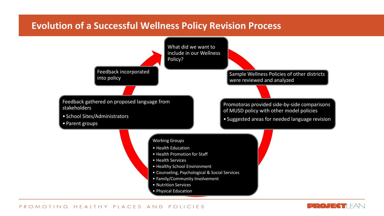### **Evolution of a Successful Wellness Policy Revision Process**



PROMOTING HEALTHY PLACES AND POLICIES

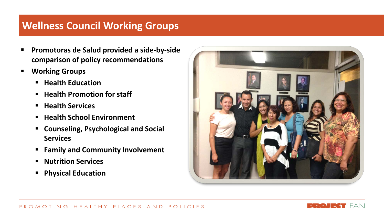## **Wellness Council Working Groups**

- **Promotoras de Salud provided a side-by-side comparison of policy recommendations**
- **Working Groups**
	- **Health Education**
	- **Health Promotion for staff**
	- **F** Health Services
	- **Health School Environment**
	- **Counseling, Psychological and Social Services**
	- **Family and Community Involvement**
	- **Nutrition Services**
	- **Physical Education**



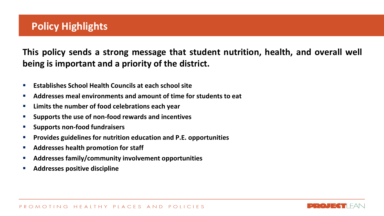**This policy sends a strong message that student nutrition, health, and overall well being is important and a priority of the district.**

- **Establishes School Health Councils at each school site**
- **Addresses meal environments and amount of time for students to eat**
- **Limits the number of food celebrations each year**
- **Supports the use of non-food rewards and incentives**
- **Supports non-food fundraisers**
- **Provides guidelines for nutrition education and P.E. opportunities**
- **Addresses health promotion for staff**
- **Addresses family/community involvement opportunities**
- **Addresses positive discipline**

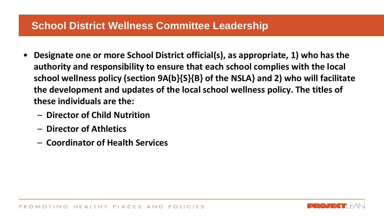## **School District Wellness Committee Leadership**

- **Designate one or more School District official(s), as appropriate, 1) who has the authority and responsibility to ensure that each school complies with the local school wellness policy (section 9A(b}{S}{B} of the NSLA} and 2) who will facilitate the development and updates of the local school wellness policy. The titles of these individuals are the:**
	- **Director of Child Nutrition**
	- **Director of Athletics**
	- **Coordinator of Health Services**

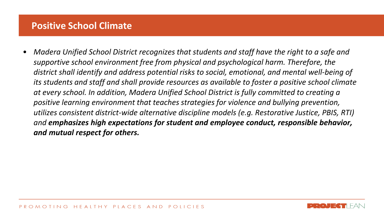### **Positive School Climate**

• *Madera Unified School District recognizes that students and staff have the right to a safe and supportive school environment free from physical and psychological harm. Therefore, the district shall identify and address potential risks to social, emotional, and mental well-being of its students and staff and shall provide resources as available to foster a positive school climate at every school. In addition, Madera Unified School District is fully committed to creating a positive learning environment that teaches strategies for violence and bullying prevention, utilizes consistent district-wide alternative discipline models (e.g. Restorative Justice, PBIS, RTI) and emphasizes high expectations for student and employee conduct, responsible behavior, and mutual respect for others.*

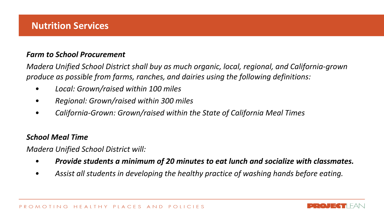#### *Farm to School Procurement*

*Madera Unified School District shall buy as much organic, local, regional, and California-grown produce as possible from farms, ranches, and dairies using the following definitions:*

- *• Local: Grown/raised within 100 miles*
- *• Regional: Grown/raised within 300 miles*
- *• California-Grown: Grown/raised within the State of California Meal Times*

#### *School Meal Time*

*Madera Unified School District will:*

- *• Provide students a minimum of 20 minutes to eat lunch and socialize with classmates.*
- *• Assist all students in developing the healthy practice of washing hands before eating.*

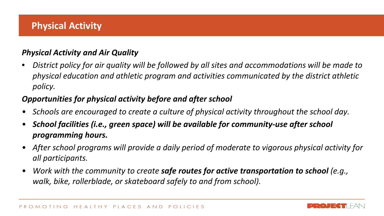#### *Physical Activity and Air Quality*

• *District policy for air quality will be followed by all sites and accommodations will be made to physical education and athletic program and activities communicated by the district athletic policy.*

### *Opportunities for physical activity before and after school*

- *Schools are encouraged to create a culture of physical activity throughout the school day.*
- *School facilities (i.e., green space) will be available for community-use after school programming hours.*
- *After school programs will provide a daily period of moderate to vigorous physical activity for all participants.*
- Work with the community to create **safe routes for active transportation to school** (e.g., *walk, bike, rollerblade, or skateboard safely to and from school).*

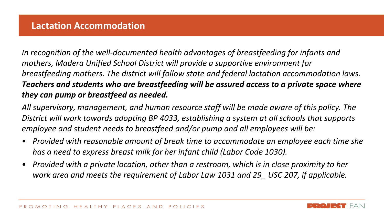*In recognition of the well-documented health advantages of breastfeeding for infants and mothers, Madera Unified School District will provide a supportive environment for breastfeeding mothers. The district will follow state and federal lactation accommodation laws. Teachers and students who are breastfeeding will be assured access to a private space where they can pump or breastfeed as needed.*

*All supervisory, management, and human resource staff will be made aware of this policy. The District will work towards adopting BP 4033, establishing a system at all schools that supports employee and student needs to breastfeed and/or pump and all employees will be:*

- *Provided with reasonable amount of break time to accommodate an employee each time she has a need to express breast milk for her infant child (Labor Code 1030).*
- *Provided with a private location, other than a restroom, which is in close proximity to her work area and meets the requirement of Labor Law 1031 and 29\_ USC 207, if applicable.*

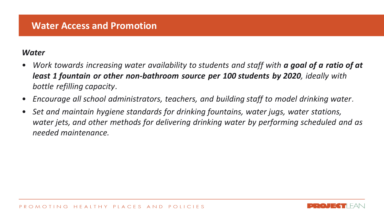### **Water Access and Promotion**

#### *Water*

- *Work towards increasing water availability to students and staff with a goal of a ratio of at least 1 fountain or other non-bathroom source per 100 students by 2020, ideally with bottle refilling capacity.*
- *Encourage all school administrators, teachers, and building staff to model drinking water.*
- *Set and maintain hygiene standards for drinking fountains, water jugs, water stations, water jets, and other methods for delivering drinking water by performing scheduled and as needed maintenance.*

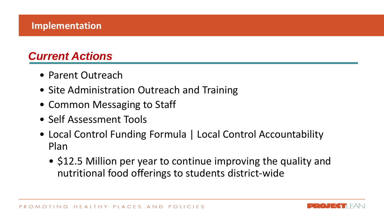# *Current Actions*

- Parent Outreach
- Site Administration Outreach and Training
- Common Messaging to Staff
- Self Assessment Tools
- Local Control Funding Formula | Local Control Accountability Plan
	- \$12.5 Million per year to continue improving the quality and nutritional food offerings to students district-wide

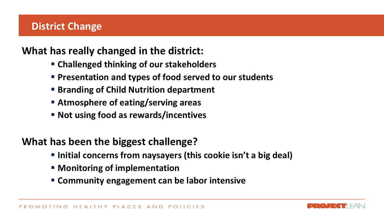## **District Change**

**What has really changed in the district:** 

- **Challenged thinking of our stakeholders**
- **Presentation and types of food served to our students**
- **Branding of Child Nutrition department**
- **Atmosphere of eating/serving areas**
- **Not using food as rewards/incentives**

## **What has been the biggest challenge?**

- **Initial concerns from naysayers (this cookie isn't a big deal)**
- **Monitoring of implementation**
- **Community engagement can be labor intensive**